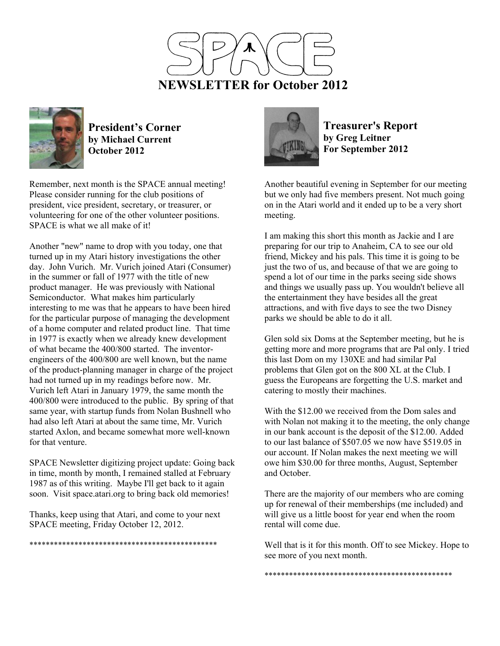



**President's Corner by Michael Current October 2012**

Remember, next month is the SPACE annual meeting! Please consider running for the club positions of president, vice president, secretary, or treasurer, or volunteering for one of the other volunteer positions. SPACE is what we all make of it!

Another "new" name to drop with you today, one that turned up in my Atari history investigations the other day. John Vurich. Mr. Vurich joined Atari (Consumer) in the summer or fall of 1977 with the title of new product manager. He was previously with National Semiconductor. What makes him particularly interesting to me was that he appears to have been hired for the particular purpose of managing the development of a home computer and related product line. That time in 1977 is exactly when we already knew development of what became the 400/800 started. The inventorengineers of the 400/800 are well known, but the name of the product-planning manager in charge of the project had not turned up in my readings before now. Mr. Vurich left Atari in January 1979, the same month the 400/800 were introduced to the public. By spring of that same year, with startup funds from Nolan Bushnell who had also left Atari at about the same time, Mr. Vurich started Axlon, and became somewhat more well-known for that venture.

SPACE Newsletter digitizing project update: Going back in time, month by month, I remained stalled at February 1987 as of this writing. Maybe I'll get back to it again soon. Visit space.atari.org to bring back old memories!

Thanks, keep using that Atari, and come to your next SPACE meeting, Friday October 12, 2012.

\*\*\*\*\*\*\*\*\*\*\*\*\*\*\*\*\*\*\*\*\*\*\*\*\*\*\*\*\*\*\*\*\*\*\*\*\*\*\*\*\*\*\*\*\*\*



**Treasurer's Report by Greg Leitner For September 2012** 

Another beautiful evening in September for our meeting but we only had five members present. Not much going on in the Atari world and it ended up to be a very short meeting.

I am making this short this month as Jackie and I are preparing for our trip to Anaheim, CA to see our old friend, Mickey and his pals. This time it is going to be just the two of us, and because of that we are going to spend a lot of our time in the parks seeing side shows and things we usually pass up. You wouldn't believe all the entertainment they have besides all the great attractions, and with five days to see the two Disney parks we should be able to do it all.

Glen sold six Doms at the September meeting, but he is getting more and more programs that are Pal only. I tried this last Dom on my 130XE and had similar Pal problems that Glen got on the 800 XL at the Club. I guess the Europeans are forgetting the U.S. market and catering to mostly their machines.

With the \$12.00 we received from the Dom sales and with Nolan not making it to the meeting, the only change in our bank account is the deposit of the \$12.00. Added to our last balance of \$507.05 we now have \$519.05 in our account. If Nolan makes the next meeting we will owe him \$30.00 for three months, August, September and October.

There are the majority of our members who are coming up for renewal of their memberships (me included) and will give us a little boost for year end when the room rental will come due.

Well that is it for this month. Off to see Mickey. Hope to see more of you next month.

\*\*\*\*\*\*\*\*\*\*\*\*\*\*\*\*\*\*\*\*\*\*\*\*\*\*\*\*\*\*\*\*\*\*\*\*\*\*\*\*\*\*\*\*\*\*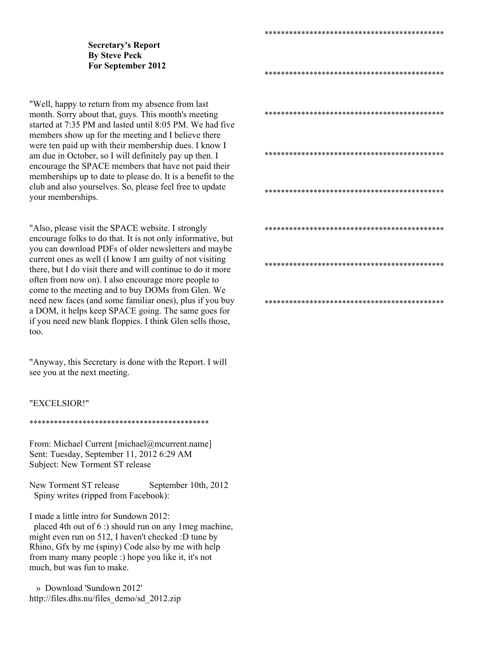## **Secretary's Report By Steve Peck For September 2012**

"Well, happy to return from my absence from last month. Sorry about that, guys. This month's meeting started at 7:35 PM and lasted until 8:05 PM. We had five members show up for the meeting and I believe there were ten paid up with their membership dues. I know I am due in October, so I will definitely pay up then. I encourage the SPACE members that have not paid their memberships up to date to please do. It is a benefit to the club and also yourselves. So, please feel free to update your memberships.

"Also, please visit the SPACE website. I strongly encourage folks to do that. It is not only informative, but you can download PDFs of older newsletters and maybe current ones as well (I know I am guilty of not visiting there, but I do visit there and will continue to do it more often from now on). I also encourage more people to come to the meeting and to buy DOMs from Glen. We need new faces (and some familiar ones), plus if you buy a DOM, it helps keep SPACE going. The same goes for if you need new blank floppies. I think Glen sells those, too.

"Anyway, this Secretary is done with the Report. I will see you at the next meeting.

## "EXCELSIOR!"

## \*\*\*\*\*\*\*\*\*\*\*\*\*\*\*\*\*\*\*\*\*\*\*\*\*\*\*\*\*\*\*\*\*\*\*\*\*\*\*\*\*\*\*\*

From: Michael Current [michael@mcurrent.name] Sent: Tuesday, September 11, 2012 6:29 AM Subject: New Torment ST release

New Torment ST release September 10th, 2012 Spiny writes (ripped from Facebook):

I made a little intro for Sundown 2012:

 placed 4th out of 6 :) should run on any 1meg machine, might even run on 512, I haven't checked :D tune by Rhino, Gfx by me (spiny) Code also by me with help from many many people :) hope you like it, it's not much, but was fun to make.

 » Download 'Sundown 2012' http://files.dhs.nu/files\_demo/sd\_2012.zip

\*\*\*\*\*\*\*\*\*\*\*\*\*\*\*\*\*\*\*\*\*\*\*\*\*\*\*\*\*\*\*\*\*\*\*\*\*\*\*\*\*\*\*\*